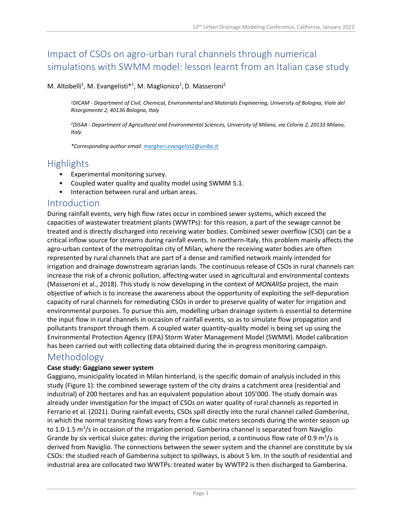# Impact of CSOs on agro-urban rural channels through numerical simulations with SWMM model: lesson learnt from an Italian case study

#### M. Altobelli<sup>1</sup>, M. Evangelisti<sup>\*1</sup>, M. Maglionico<sup>1</sup>, D. Masseroni<sup>2</sup>

*<sup>1</sup>DICAM - Department of Civil, Chemical, Environmental and Materials Engineering, University of Bologna, Viale del Risorgimento 2, 40136 Bologna, Italy*

*<sup>2</sup>DiSAA - Department of Agricultural and Environmental Sciences, University of Milano, via Celoria 2, 20133 Milano, Italy*

*\*Corresponding author email: [margheri.evangelist2@unibo.it](mailto:margheri.evangelist2@unibo.)*

# **Highlights**

- Experimental monitoring survey.
- Coupled water quality and quality model using SWMM 5.1.
- Interaction between rural and urban areas.

### Introduction

During rainfall events, very high flow rates occur in combined sewer systems, which exceed the capacities of wastewater treatment plants (WWTPs): for this reason, a part of the sewage cannot be treated and is directly discharged into receiving water bodies. Combined sewer overflow (CSO) can be a critical inflow source for streams during rainfall events. In northern-Italy, this problem mainly affects the agro-urban context of the metropolitan city of Milan, where the receiving water bodies are often represented by rural channels that are part of a dense and ramified network mainly intended for irrigation and drainage downstream agrarian lands. The continuous release of CSOs in rural channels can increase the risk of a chronic pollution, affecting water used in agricultural and environmental contexts (Masseroni et al., 2018). This study is now developing in the context of *MONAlISa* project, the main objective of which is to increase the awareness about the opportunity of exploiting the self-depuration capacity of rural channels for remediating CSOs in order to preserve quality of water for irrigation and environmental purposes. To pursue this aim, modelling urban drainage system is essential to determine the input flow in rural channels in occasion of rainfall events, so as to simulate flow propagation and pollutants transport through them. A coupled water quantity-quality model is being set up using the Environmental Protection Agency (EPA) Storm Water Management Model (SWMM). Model calibration has been carried out with collecting data obtained during the in-progress monitoring campaign.

# Methodology

#### **Case study: Gaggiano sewer system**

Gaggiano, municipality located in Milan hinterland, is the specific domain of analysis included in this study (Figure 1): the combined sewerage system of the city drains a catchment area (residential and industrial) of 200 hectares and has an equivalent population about 105'000. The study domain was already under investigation for the impact of CSOs on water quality of rural channels as reported in Ferrario et al. (2021). During rainfall events, CSOs spill directly into the rural channel called *Gamberina*, in which the normal transiting flows vary from a few cubic meters seconds during the winter season up to 1.0-1.5 m<sup>3</sup>/s in occasion of the irrigation period. Gamberina channel is separated from Naviglio Grande by six vertical sluice gates: during the irrigation period, a continuous flow rate of 0.9 m<sup>3</sup>/s is derived from Naviglio. The connections between the sewer system and the channel are constitute by six CSOs: the studied reach of Gamberina subject to spillways, is about 5 km. In the south of residential and industrial area are collocated two WWTPs: treated water by WWTP2 is then discharged to Gamberina.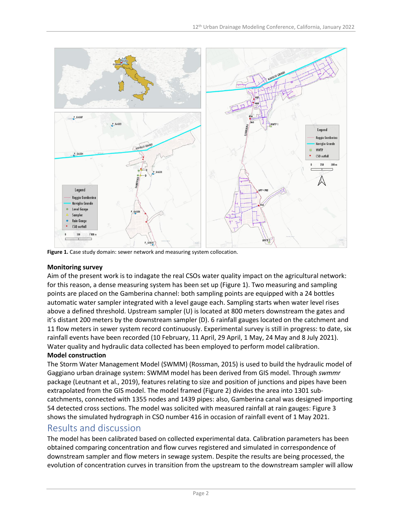

**Figure 1.** Case study domain: sewer network and measuring system collocation.

#### **Monitoring survey**

Aim of the present work is to indagate the real CSOs water quality impact on the agricultural network: for this reason, a dense measuring system has been set up (Figure 1). Two measuring and sampling points are placed on the Gamberina channel: both sampling points are equipped with a 24 bottles automatic water sampler integrated with a level gauge each. Sampling starts when water level rises above a defined threshold. Upstream sampler (U) is located at 800 meters downstream the gates and it's distant 200 meters by the downstream sampler (D). 6 rainfall gauges located on the catchment and 11 flow meters in sewer system record continuously. Experimental survey is still in progress: to date, six rainfall events have been recorded (10 February, 11 April, 29 April, 1 May, 24 May and 8 July 2021). Water quality and hydraulic data collected has been employed to perform model calibration.

#### **Model construction**

The Storm Water Management Model (SWMM) (Rossman, 2015) is used to build the hydraulic model of Gaggiano urban drainage system: SWMM model has been derived from GIS model. Through *swmmr*  package (Leutnant et al., 2019), features relating to size and position of junctions and pipes have been extrapolated from the GIS model. The model framed (Figure 2) divides the area into 1301 subcatchments, connected with 1355 nodes and 1439 pipes: also, Gamberina canal was designed importing 54 detected cross sections. The model was solicited with measured rainfall at rain gauges: Figure 3 shows the simulated hydrograph in CSO number 416 in occasion of rainfall event of 1 May 2021.

# Results and discussion

The model has been calibrated based on collected experimental data. Calibration parameters has been obtained comparing concentration and flow curves registered and simulated in correspondence of downstream sampler and flow meters in sewage system. Despite the results are being processed, the evolution of concentration curves in transition from the upstream to the downstream sampler will allow